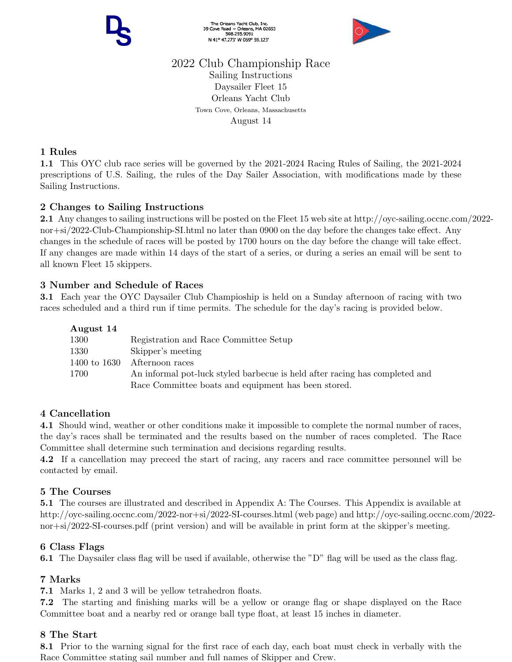The Orleans Yacht Club, Inc.<br>39 Cove Road ~ Orleans, MA 02653<br>508.255.9091 N 41° 47.273' W 069° 59.123'



# 2022 Club Championship Race

Sailing Instructions Daysailer Fleet 15 Orleans Yacht Club Town Cove, Orleans, Massachusetts August 14

# 1 Rules

1.1 This OYC club race series will be governed by the 2021-2024 Racing Rules of Sailing, the 2021-2024 prescriptions of U.S. Sailing, the rules of the Day Sailer Association, with modifications made by these Sailing Instructions.

# 2 Changes to Sailing Instructions

2.1 Any changes to sailing instructions will be posted on the Fleet 15 web site at http://oyc-sailing.occnc.com/2022 nor+si/2022-Club-Championship-SI.html no later than 0900 on the day before the changes take effect. Any changes in the schedule of races will be posted by 1700 hours on the day before the change will take effect. If any changes are made within 14 days of the start of a series, or during a series an email will be sent to all known Fleet 15 skippers.

# 3 Number and Schedule of Races

3.1 Each year the OYC Daysailer Club Champioship is held on a Sunday afternoon of racing with two races scheduled and a third run if time permits. The schedule for the day's racing is provided below.

| August 14    |                                                                             |
|--------------|-----------------------------------------------------------------------------|
| 1300         | Registration and Race Committee Setup                                       |
| 1330         | Skipper's meeting                                                           |
| 1400 to 1630 | Afternoon races                                                             |
| 1700         | An informal pot-luck styled barbecue is held after racing has completed and |
|              | Race Committee boats and equipment has been stored.                         |

# 4 Cancellation

4.1 Should wind, weather or other conditions make it impossible to complete the normal number of races, the day's races shall be terminated and the results based on the number of races completed. The Race Committee shall determine such termination and decisions regarding results.

4.2 If a cancellation may preceed the start of racing, any racers and race committee personnel will be contacted by email.

## 5 The Courses

5.1 The courses are illustrated and described in Appendix A: The Courses. This Appendix is available at http://oyc-sailing.occnc.com/2022-nor+si/2022-SI-courses.html (web page) and http://oyc-sailing.occnc.com/2022 nor+si/2022-SI-courses.pdf (print version) and will be available in print form at the skipper's meeting.

# 6 Class Flags

6.1 The Daysailer class flag will be used if available, otherwise the "D" flag will be used as the class flag.

# 7 Marks

7.1 Marks 1, 2 and 3 will be yellow tetrahedron floats.

7.2 The starting and finishing marks will be a yellow or orange flag or shape displayed on the Race Committee boat and a nearby red or orange ball type float, at least 15 inches in diameter.

## 8 The Start

8.1 Prior to the warning signal for the first race of each day, each boat must check in verbally with the Race Committee stating sail number and full names of Skipper and Crew.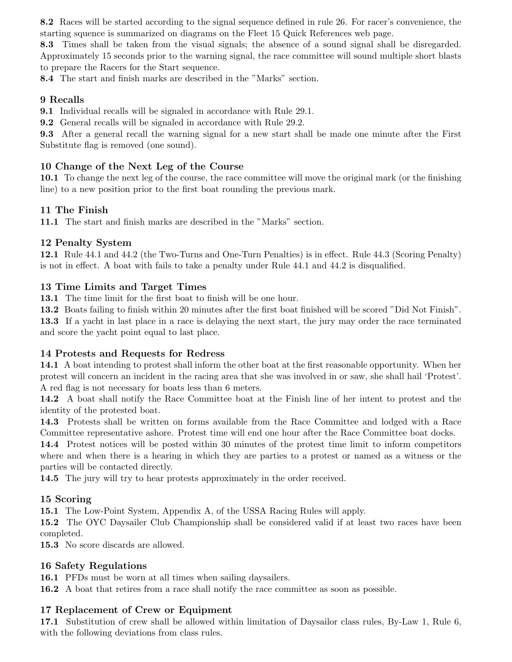8.2 Races will be started according to the signal sequence defined in rule 26. For racer's convenience, the starting squence is summarized on diagrams on the Fleet 15 Quick References web page.

8.3 Times shall be taken from the visual signals; the absence of a sound signal shall be disregarded. Approximately 15 seconds prior to the warning signal, the race committee will sound multiple short blasts to prepare the Racers for the Start sequence.

8.4 The start and finish marks are described in the "Marks" section.

## 9 Recalls

9.1 Individual recalls will be signaled in accordance with Rule 29.1.

9.2 General recalls will be signaled in accordance with Rule 29.2.

9.3 After a general recall the warning signal for a new start shall be made one minute after the First Substitute flag is removed (one sound).

## 10 Change of the Next Leg of the Course

10.1 To change the next leg of the course, the race committee will move the original mark (or the finishing line) to a new position prior to the first boat rounding the previous mark.

#### 11 The Finish

11.1 The start and finish marks are described in the "Marks" section.

## 12 Penalty System

12.1 Rule 44.1 and 44.2 (the Two-Turns and One-Turn Penalties) is in effect. Rule 44.3 (Scoring Penalty) is not in effect. A boat with fails to take a penalty under Rule 44.1 and 44.2 is disqualified.

## 13 Time Limits and Target Times

13.1 The time limit for the first boat to finish will be one hour.

13.2 Boats failing to finish within 20 minutes after the first boat finished will be scored "Did Not Finish".

13.3 If a yacht in last place in a race is delaying the next start, the jury may order the race terminated and score the yacht point equal to last place.

#### 14 Protests and Requests for Redress

14.1 A boat intending to protest shall inform the other boat at the first reasonable opportunity. When her protest will concern an incident in the racing area that she was involved in or saw, she shall hail 'Protest'. A red flag is not necessary for boats less than 6 meters.

14.2 A boat shall notify the Race Committee boat at the Finish line of her intent to protest and the identity of the protested boat.

14.3 Protests shall be written on forms available from the Race Committee and lodged with a Race Committee representative ashore. Protest time will end one hour after the Race Committee boat docks.

14.4 Protest notices will be posted within 30 minutes of the protest time limit to inform competitors where and when there is a hearing in which they are parties to a protest or named as a witness or the parties will be contacted directly.

14.5 The jury will try to hear protests approximately in the order received.

#### 15 Scoring

15.1 The Low-Point System, Appendix A, of the USSA Racing Rules will apply.

15.2 The OYC Daysailer Club Championship shall be considered valid if at least two races have been completed.

15.3 No score discards are allowed.

#### 16 Safety Regulations

16.1 PFDs must be worn at all times when sailing daysailers.

16.2 A boat that retires from a race shall notify the race committee as soon as possible.

## 17 Replacement of Crew or Equipment

17.1 Substitution of crew shall be allowed within limitation of Daysailor class rules, By-Law 1, Rule 6, with the following deviations from class rules.